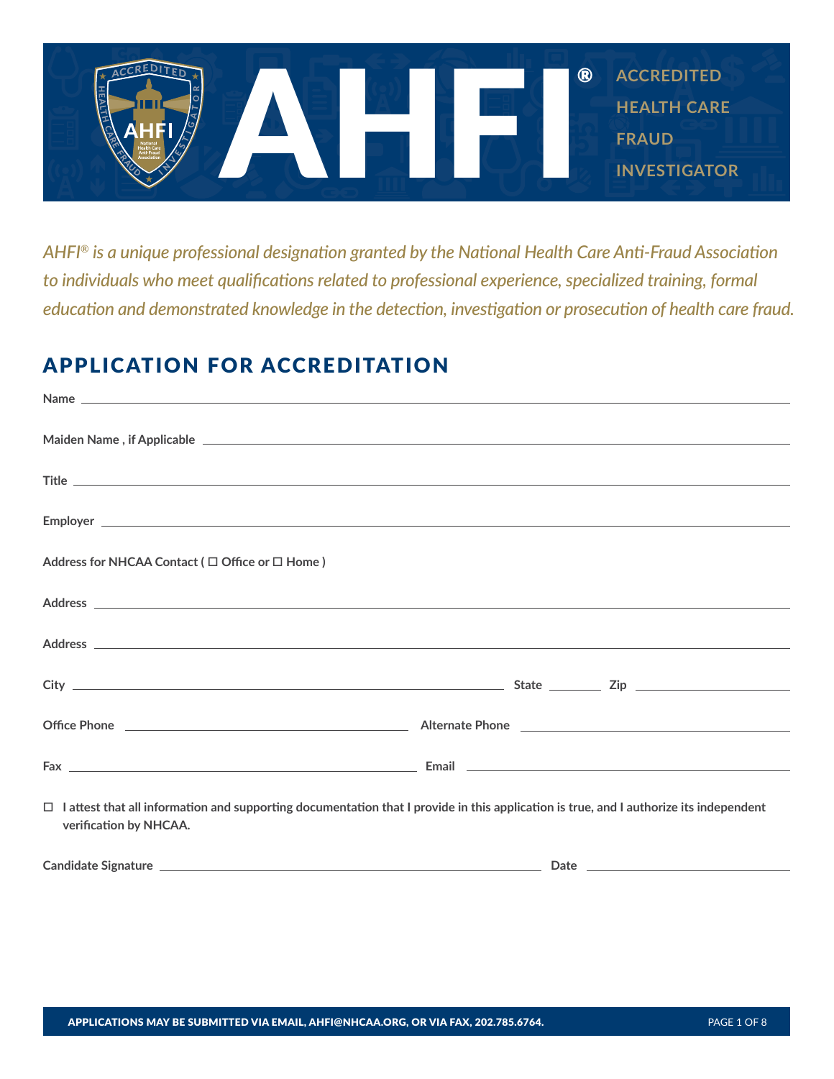

*AHFI® is a unique professional designation granted by the National Health Care Anti-Fraud Association to individuals who meet qualifications related to professional experience, specialized training, formal education and demonstrated knowledge in the detection, investigation or prosecution of health care fraud.*

# APPLICATION FOR ACCREDITATION

| $\Box$ lattest that all information and supporting documentation that I provide in this application is true, and I authorize its independent |
|----------------------------------------------------------------------------------------------------------------------------------------------|
|                                                                                                                                              |
|                                                                                                                                              |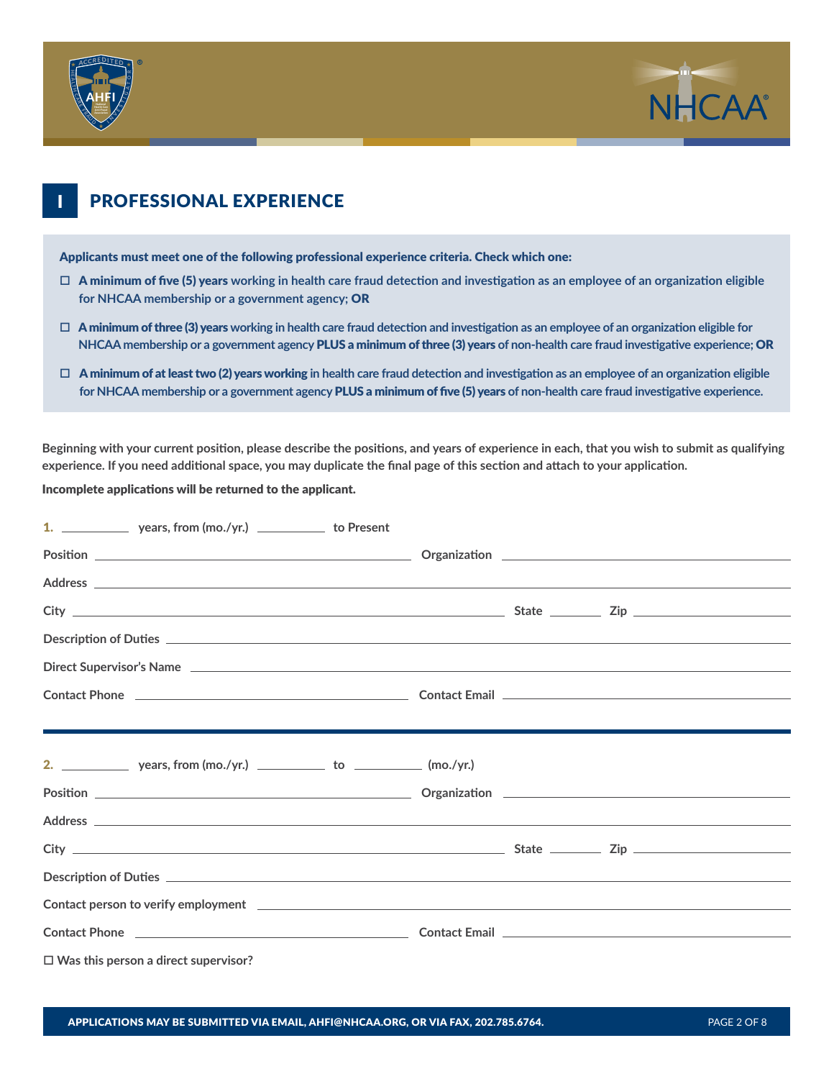



## **PROFESSIONAL EXPERIENCE**

Applicants must meet one of the following professional experience criteria. Check which one:

- $\Box$  A minimum of five (5) years working in health care fraud detection and investigation as an employee of an organization eligible **for NHCAA membership or a government agency;** OR
- $\Box$  A minimum of three (3) years working in health care fraud detection and investigation as an employee of an organization eligible for **NHCAA membership or a government agency** PLUS a minimum of three (3) years **of non-health care fraud investigative experience;** OR
- □ A minimum of at least two (2) years working in health care fraud detection and investigation as an employee of an organization eligible **for NHCAA membership or a government agency** PLUS a minimum of five (5) years **of non-health care fraud investigative experience.**

**Beginning with your current position, please describe the positions, and years of experience in each, that you wish to submit as qualifying experience. If you need additional space, you may duplicate the final page of this section and attach to your application.** 

Incomplete applications will be returned to the applicant.

| 1. ____________________ years, from (mo./yr.) __________________ to Present                                                                                                                                                    |  |  |  |
|--------------------------------------------------------------------------------------------------------------------------------------------------------------------------------------------------------------------------------|--|--|--|
|                                                                                                                                                                                                                                |  |  |  |
| Address experiences and the set of the set of the set of the set of the set of the set of the set of the set of the set of the set of the set of the set of the set of the set of the set of the set of the set of the set of  |  |  |  |
|                                                                                                                                                                                                                                |  |  |  |
|                                                                                                                                                                                                                                |  |  |  |
| Direct Supervisor's Name entry the contract of the contract of the contract of the contract of the contract of the contract of the contract of the contract of the contract of the contract of the contract of the contract of |  |  |  |
|                                                                                                                                                                                                                                |  |  |  |
|                                                                                                                                                                                                                                |  |  |  |
|                                                                                                                                                                                                                                |  |  |  |
|                                                                                                                                                                                                                                |  |  |  |
|                                                                                                                                                                                                                                |  |  |  |
| Address experiences and the set of the set of the set of the set of the set of the set of the set of the set of the set of the set of the set of the set of the set of the set of the set of the set of the set of the set of  |  |  |  |
|                                                                                                                                                                                                                                |  |  |  |
|                                                                                                                                                                                                                                |  |  |  |
| Contact person to verify employment experience and the contract of the contract person to verify employment                                                                                                                    |  |  |  |
| Contact Phone 2012 2013 2014 2015 2016 2017 2018 2019 2014 2015 2017 2018 2019 2019 2017 2018 2019 2019 2017 20                                                                                                                |  |  |  |
| $\Box$ Was this person a direct supervisor?                                                                                                                                                                                    |  |  |  |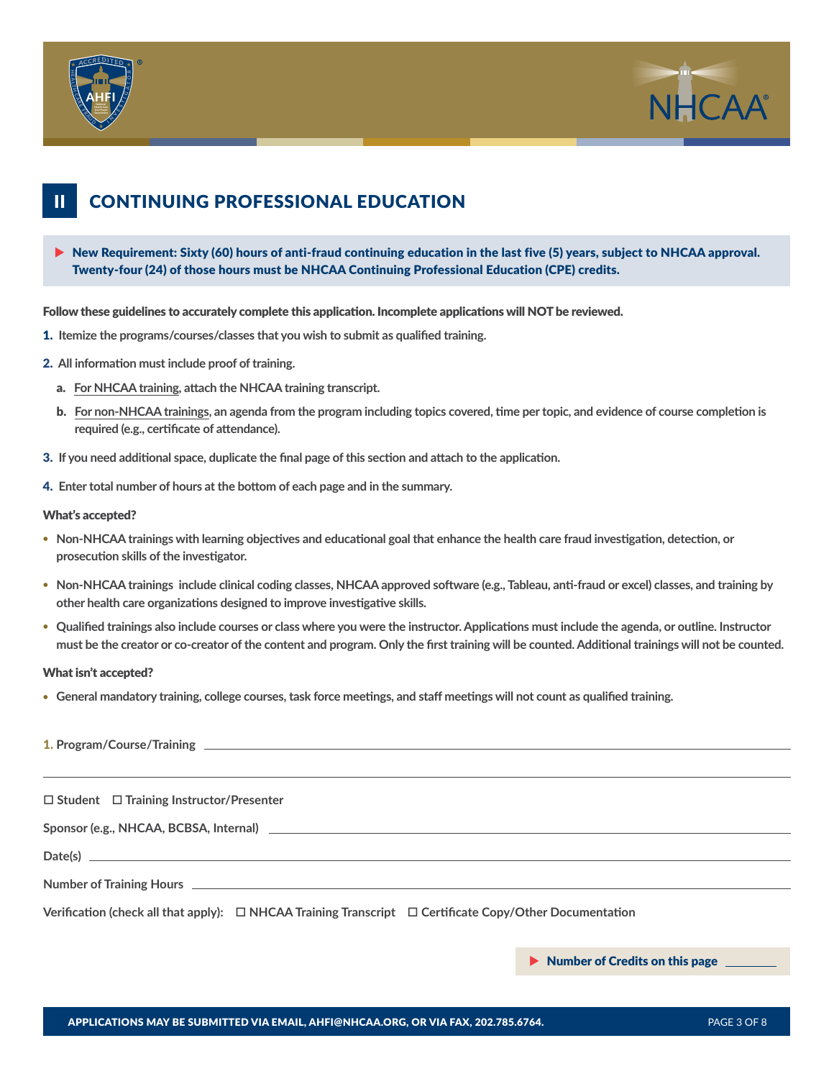



#### CONTINUING PROFESSIONAL EDUCATION II

 $\triangleright$  New Requirement: Sixty (60) hours of anti-fraud continuing education in the last five (5) years, subject to NHCAA approval. Twenty-four (24) of those hours must be NHCAA Continuing Professional Education (CPE) credits.

Follow these guidelines to accurately complete this application. Incomplete applications will NOT be reviewed.

- 1. **Itemize the programs/courses/classes that you wish to submit as qualified training.**
- 2. **All information must include proof of training.**
	- a. **For NHCAA training, attach the NHCAA training transcript.**
	- b. **For non-NHCAA trainings, an agenda from the program including topics covered, time per topic, and evidence of course completion is required (e.g., certificate of attendance).**
- 3. **If you need additional space, duplicate the final page of this section and attach to the application.**
- 4. **Enter total number of hours at the bottom of each page and in the summary.**

### What's accepted?

- **• Non-NHCAA trainings with learning objectives and educational goal that enhance the health care fraud investigation, detection, or prosecution skills of the investigator.**
- **• Non-NHCAA trainings include clinical coding classes, NHCAA approved software (e.g., Tableau, anti-fraud or excel) classes, and training by other health care organizations designed to improve investigative skills.**
- **• Qualified trainings also include courses or class where you were the instructor. Applications must include the agenda, or outline. Instructor must be the creator or co-creator of the content and program. Only the first training will be counted. Additional trainings will not be counted.**

### What isn't accepted?

**• General mandatory training, college courses, task force meetings, and staff meetings will not count as qualified training.**

| $\Box$ Student $\Box$ Training Instructor/Presenter                                                               |  |  |  |  |  |
|-------------------------------------------------------------------------------------------------------------------|--|--|--|--|--|
|                                                                                                                   |  |  |  |  |  |
|                                                                                                                   |  |  |  |  |  |
| $Date(s)$ $\qquad \qquad$                                                                                         |  |  |  |  |  |
|                                                                                                                   |  |  |  |  |  |
| Verification (check all that apply): $\Box$ NHCAA Training Transcript $\Box$ Certificate Copy/Other Documentation |  |  |  |  |  |
|                                                                                                                   |  |  |  |  |  |

 $\blacktriangleright$  Number of Credits on this page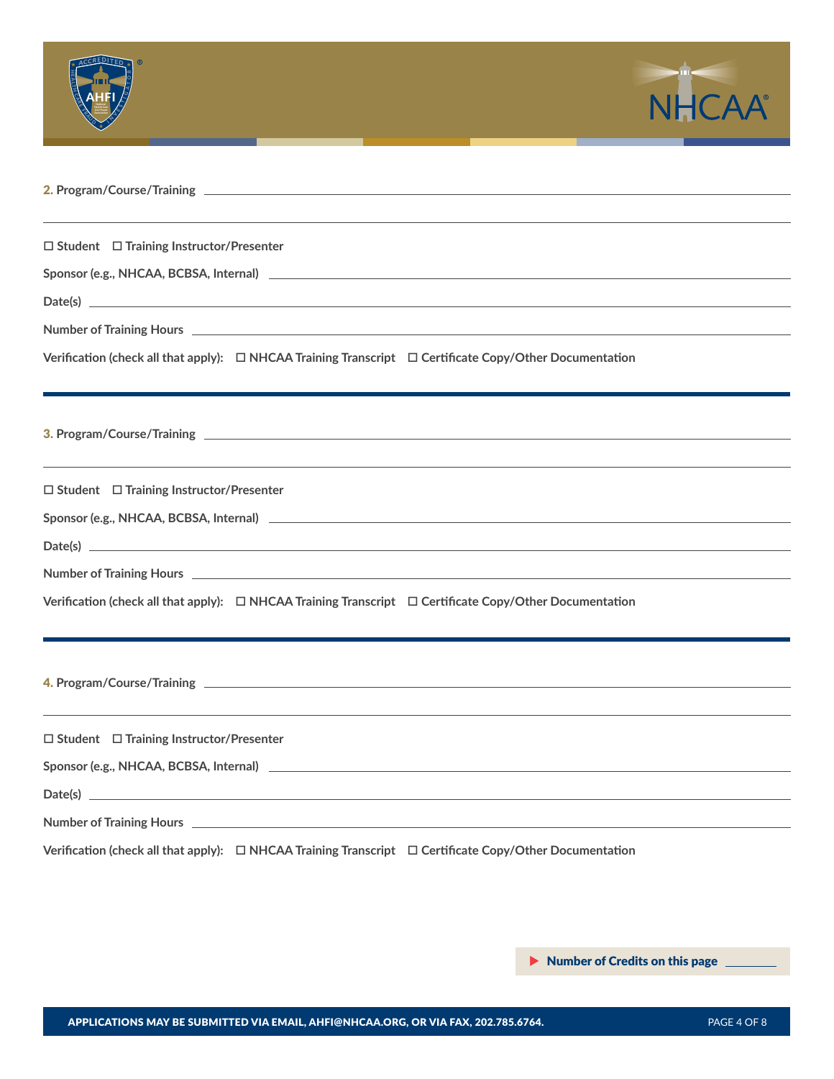

**Number of Training Hours**

**Date(s)**

**Verification (check all that apply):**  $\Box$  NHCAA Training Transcript  $\Box$  Certificate Copy/Other Documentation

3. **Program/Course/Training**

o **Student** o **Training Instructor/Presenter**

**Sponsor (e.g., NHCAA, BCBSA, Internal)**

**Date(s)**

**Number of Training Hours**

**Verification (check all that apply):**  $\Box$  NHCAA Training Transcript  $\Box$  Certificate Copy/Other Documentation

4. **Program/Course/Training**

o **Student** o **Training Instructor/Presenter**

**Sponsor (e.g., NHCAA, BCBSA, Internal)**

**Date(s)**

**Number of Training Hours**

**Verification (check all that apply):**  $\Box$  NHCAA Training Transcript  $\Box$  Certificate Copy/Other Documentation

<u> 1989 - Johann Stoff, deutscher Stoff, der Stoff, der Stoff, der Stoff, der Stoff, der Stoff, der Stoff, der S</u>

Number of Credits on this page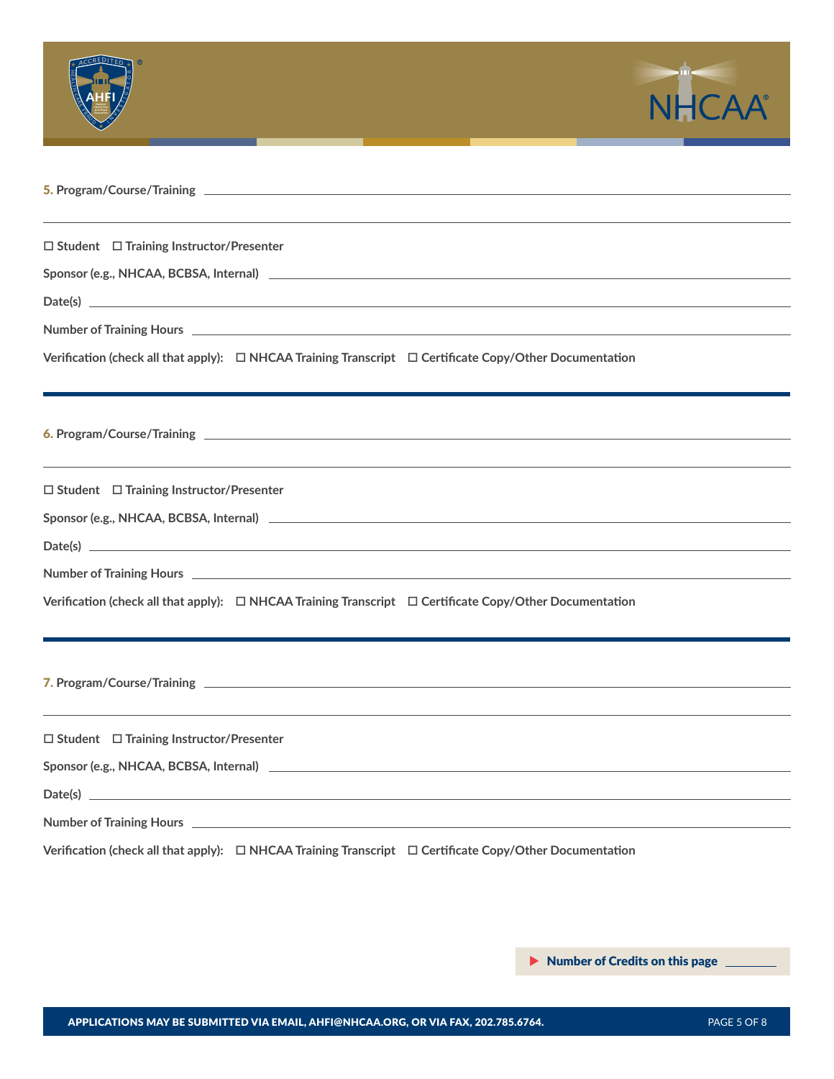

**Verification (check all that apply):**  $\Box$  NHCAA Training Transcript  $\Box$  Certificate Copy/Other Documentation

6. **Program/Course/Training** 

o **Student** o **Training Instructor/Presenter**

**Sponsor (e.g., NHCAA, BCBSA, Internal)**

**Date(s)**

**Number of Training Hours**

**Verification (check all that apply):**  $\Box$  NHCAA Training Transcript  $\Box$  Certificate Copy/Other Documentation

7. **Program/Course/Training** 

o **Student** o **Training Instructor/Presenter**

**Sponsor (e.g., NHCAA, BCBSA, Internal)**

**Date(s)**

**Number of Training Hours**

**Verification (check all that apply):**  $\Box$  NHCAA Training Transcript  $\Box$  Certificate Copy/Other Documentation

<u> 1989 - Johann Stoff, deutscher Stoff, der Stoff, der Stoff, der Stoff, der Stoff, der Stoff, der Stoff, der S</u>

Number of Credits on this page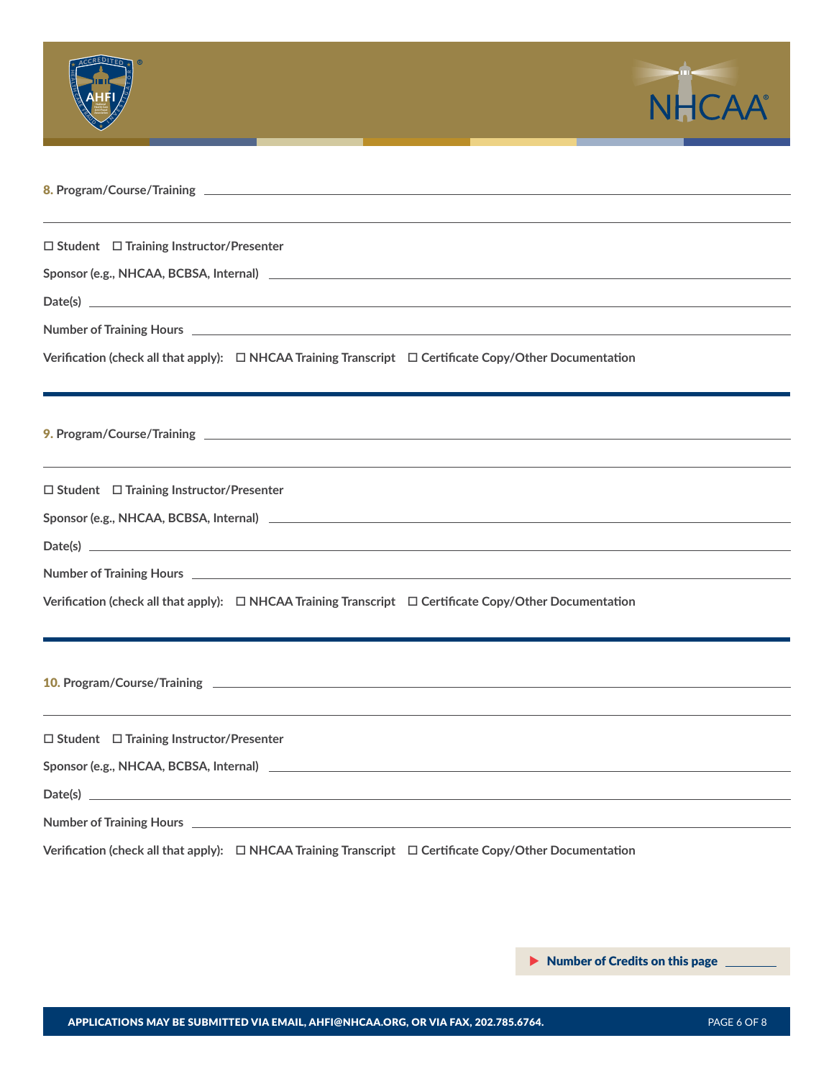

9. **Program/Course/Training** 

o **Student** o **Training Instructor/Presenter**

**Sponsor (e.g., NHCAA, BCBSA, Internal)**

**Date(s)**

**Number of Training Hours**

**Verification (check all that apply):**  $\Box$  NHCAA Training Transcript  $\Box$  Certificate Copy/Other Documentation

10. **Program/Course/Training** 

o **Student** o **Training Instructor/Presenter**

**Sponsor (e.g., NHCAA, BCBSA, Internal)**

**Date(s)**

**Number of Training Hours**

**Verification (check all that apply):**  $\Box$  NHCAA Training Transcript  $\Box$  Certificate Copy/Other Documentation

<u> 1989 - Johann Stoff, deutscher Stoff, der Stoff, der Stoff, der Stoff, der Stoff, der Stoff, der Stoff, der S</u>

Number of Credits on this page